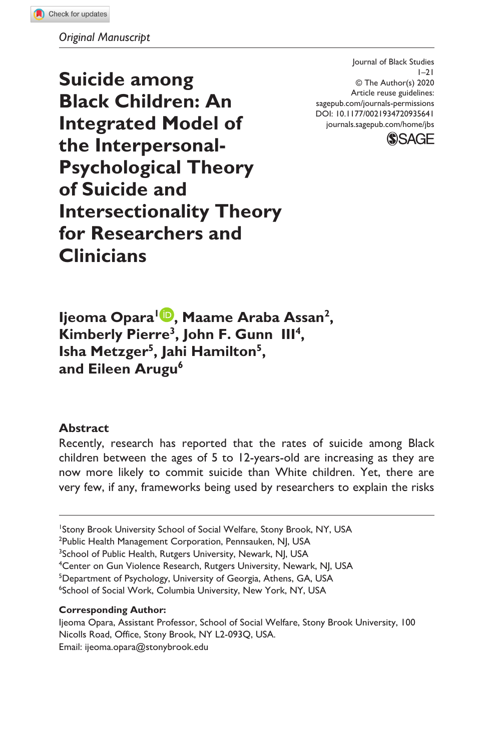*Original Manuscript*

**Suicide among Black Children: An Integrated Model of the Interpersonal-Psychological Theory of Suicide and Intersectionality Theory for Researchers and Clinicians**

DOI: 10.1177/0021934720935641 Journal of Black Studies  $1 - 21$ © The Author(s) 2020 Article reuse guidelines: [sagepub.com/journals-permissions](https://us.sagepub.com/en-us/journals-permissions) [journals.sagepub.com/home/jbs](https://journals.sagepub.com/home/jbs)



**Ijeoma Opara1 , Maame Araba Assan2, Kimberly Pierre3, John F. Gunn III4, Isha Metzger5, Jahi Hamilton5,**  and Eileen Arugu<sup>6</sup>

### **Abstract**

Recently, research has reported that the rates of suicide among Black children between the ages of 5 to 12-years-old are increasing as they are now more likely to commit suicide than White children. Yet, there are very few, if any, frameworks being used by researchers to explain the risks

#### **Corresponding Author:**

<sup>&</sup>lt;sup>1</sup>Stony Brook University School of Social Welfare, Stony Brook, NY, USA

<sup>&</sup>lt;sup>2</sup>Public Health Management Corporation, Pennsauken, NJ, USA

<sup>&</sup>lt;sup>3</sup>School of Public Health, Rutgers University, Newark, NJ, USA

<sup>&</sup>lt;sup>4</sup>Center on Gun Violence Research, Rutgers University, Newark, NJ, USA

<sup>5</sup> Department of Psychology, University of Georgia, Athens, GA, USA

<sup>6</sup> School of Social Work, Columbia University, New York, NY, USA

Ijeoma Opara, Assistant Professor, School of Social Welfare, Stony Brook University, 100 Nicolls Road, Office, Stony Brook, NY L2-093Q, USA. Email: [ijeoma.opara@stonybrook.edu](mailto:ijeoma.opara@stonybrook.edu)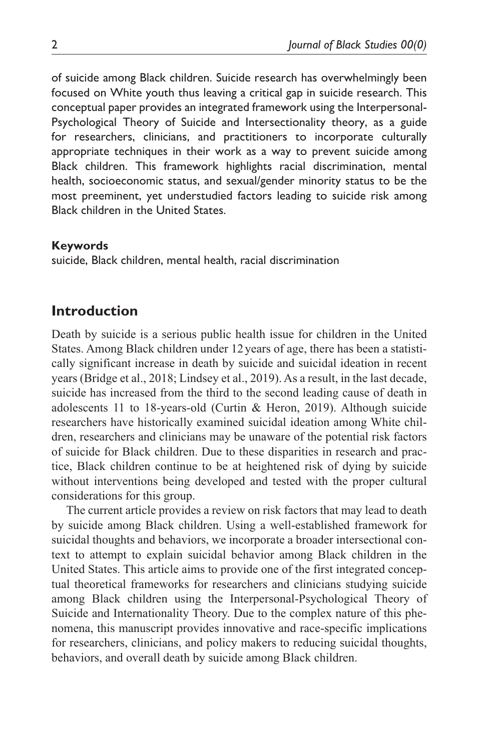of suicide among Black children. Suicide research has overwhelmingly been focused on White youth thus leaving a critical gap in suicide research. This conceptual paper provides an integrated framework using the Interpersonal-Psychological Theory of Suicide and Intersectionality theory, as a guide for researchers, clinicians, and practitioners to incorporate culturally appropriate techniques in their work as a way to prevent suicide among Black children. This framework highlights racial discrimination, mental health, socioeconomic status, and sexual/gender minority status to be the most preeminent, yet understudied factors leading to suicide risk among Black children in the United States.

#### **Keywords**

suicide, Black children, mental health, racial discrimination

## **Introduction**

Death by suicide is a serious public health issue for children in the United States. Among Black children under 12 years of age, there has been a statistically significant increase in death by suicide and suicidal ideation in recent years (Bridge et al., 2018; Lindsey et al., 2019). As a result, in the last decade, suicide has increased from the third to the second leading cause of death in adolescents 11 to 18-years-old (Curtin & Heron, 2019). Although suicide researchers have historically examined suicidal ideation among White children, researchers and clinicians may be unaware of the potential risk factors of suicide for Black children. Due to these disparities in research and practice, Black children continue to be at heightened risk of dying by suicide without interventions being developed and tested with the proper cultural considerations for this group.

The current article provides a review on risk factors that may lead to death by suicide among Black children. Using a well-established framework for suicidal thoughts and behaviors, we incorporate a broader intersectional context to attempt to explain suicidal behavior among Black children in the United States. This article aims to provide one of the first integrated conceptual theoretical frameworks for researchers and clinicians studying suicide among Black children using the Interpersonal-Psychological Theory of Suicide and Internationality Theory. Due to the complex nature of this phenomena, this manuscript provides innovative and race-specific implications for researchers, clinicians, and policy makers to reducing suicidal thoughts, behaviors, and overall death by suicide among Black children.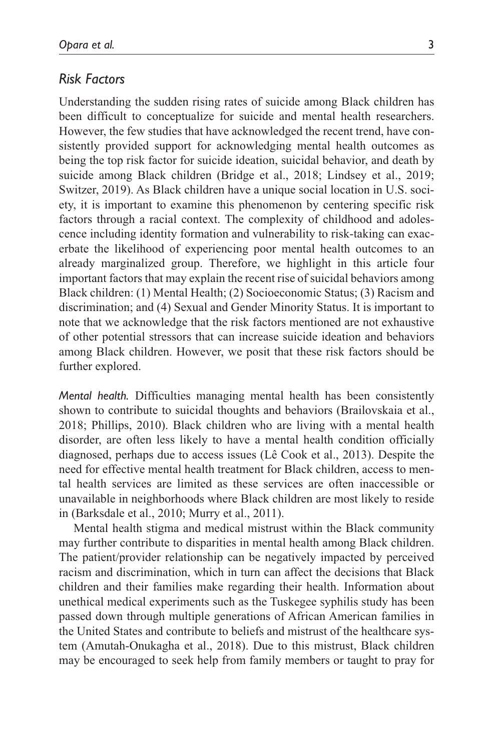### *Risk Factors*

Understanding the sudden rising rates of suicide among Black children has been difficult to conceptualize for suicide and mental health researchers. However, the few studies that have acknowledged the recent trend, have consistently provided support for acknowledging mental health outcomes as being the top risk factor for suicide ideation, suicidal behavior, and death by suicide among Black children (Bridge et al., 2018; Lindsey et al., 2019; Switzer, 2019). As Black children have a unique social location in U.S. society, it is important to examine this phenomenon by centering specific risk factors through a racial context. The complexity of childhood and adolescence including identity formation and vulnerability to risk-taking can exacerbate the likelihood of experiencing poor mental health outcomes to an already marginalized group. Therefore, we highlight in this article four important factors that may explain the recent rise of suicidal behaviors among Black children: (1) Mental Health; (2) Socioeconomic Status; (3) Racism and discrimination; and (4) Sexual and Gender Minority Status. It is important to note that we acknowledge that the risk factors mentioned are not exhaustive of other potential stressors that can increase suicide ideation and behaviors among Black children. However, we posit that these risk factors should be further explored.

*Mental health.* Difficulties managing mental health has been consistently shown to contribute to suicidal thoughts and behaviors (Brailovskaia et al., 2018; Phillips, 2010). Black children who are living with a mental health disorder, are often less likely to have a mental health condition officially diagnosed, perhaps due to access issues (Lê Cook et al., 2013). Despite the need for effective mental health treatment for Black children, access to mental health services are limited as these services are often inaccessible or unavailable in neighborhoods where Black children are most likely to reside in (Barksdale et al., 2010; Murry et al., 2011).

Mental health stigma and medical mistrust within the Black community may further contribute to disparities in mental health among Black children. The patient/provider relationship can be negatively impacted by perceived racism and discrimination, which in turn can affect the decisions that Black children and their families make regarding their health. Information about unethical medical experiments such as the Tuskegee syphilis study has been passed down through multiple generations of African American families in the United States and contribute to beliefs and mistrust of the healthcare system (Amutah-Onukagha et al., 2018). Due to this mistrust, Black children may be encouraged to seek help from family members or taught to pray for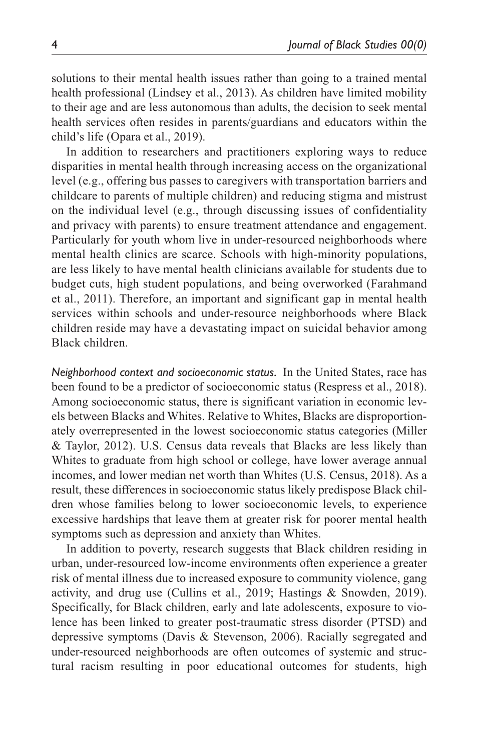solutions to their mental health issues rather than going to a trained mental health professional (Lindsey et al., 2013). As children have limited mobility to their age and are less autonomous than adults, the decision to seek mental health services often resides in parents/guardians and educators within the child's life (Opara et al., 2019).

In addition to researchers and practitioners exploring ways to reduce disparities in mental health through increasing access on the organizational level (e.g., offering bus passes to caregivers with transportation barriers and childcare to parents of multiple children) and reducing stigma and mistrust on the individual level (e.g., through discussing issues of confidentiality and privacy with parents) to ensure treatment attendance and engagement. Particularly for youth whom live in under-resourced neighborhoods where mental health clinics are scarce. Schools with high-minority populations, are less likely to have mental health clinicians available for students due to budget cuts, high student populations, and being overworked (Farahmand et al., 2011). Therefore, an important and significant gap in mental health services within schools and under-resource neighborhoods where Black children reside may have a devastating impact on suicidal behavior among Black children.

*Neighborhood context and socioeconomic status.* In the United States, race has been found to be a predictor of socioeconomic status (Respress et al., 2018). Among socioeconomic status, there is significant variation in economic levels between Blacks and Whites. Relative to Whites, Blacks are disproportionately overrepresented in the lowest socioeconomic status categories (Miller & Taylor, 2012). U.S. Census data reveals that Blacks are less likely than Whites to graduate from high school or college, have lower average annual incomes, and lower median net worth than Whites (U.S. Census, 2018). As a result, these differences in socioeconomic status likely predispose Black children whose families belong to lower socioeconomic levels, to experience excessive hardships that leave them at greater risk for poorer mental health symptoms such as depression and anxiety than Whites.

In addition to poverty, research suggests that Black children residing in urban, under-resourced low-income environments often experience a greater risk of mental illness due to increased exposure to community violence, gang activity, and drug use (Cullins et al., 2019; Hastings & Snowden, 2019). Specifically, for Black children, early and late adolescents, exposure to violence has been linked to greater post-traumatic stress disorder (PTSD) and depressive symptoms (Davis & Stevenson, 2006). Racially segregated and under-resourced neighborhoods are often outcomes of systemic and structural racism resulting in poor educational outcomes for students, high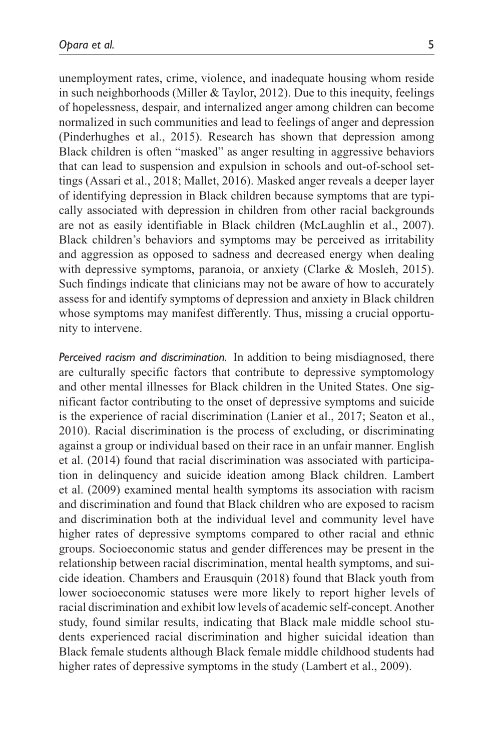unemployment rates, crime, violence, and inadequate housing whom reside in such neighborhoods (Miller & Taylor, 2012). Due to this inequity, feelings of hopelessness, despair, and internalized anger among children can become normalized in such communities and lead to feelings of anger and depression (Pinderhughes et al., 2015). Research has shown that depression among Black children is often "masked" as anger resulting in aggressive behaviors that can lead to suspension and expulsion in schools and out-of-school settings (Assari et al., 2018; Mallet, 2016). Masked anger reveals a deeper layer of identifying depression in Black children because symptoms that are typically associated with depression in children from other racial backgrounds are not as easily identifiable in Black children (McLaughlin et al., 2007). Black children's behaviors and symptoms may be perceived as irritability and aggression as opposed to sadness and decreased energy when dealing with depressive symptoms, paranoia, or anxiety (Clarke & Mosleh, 2015). Such findings indicate that clinicians may not be aware of how to accurately assess for and identify symptoms of depression and anxiety in Black children whose symptoms may manifest differently. Thus, missing a crucial opportunity to intervene.

*Perceived racism and discrimination.* In addition to being misdiagnosed, there are culturally specific factors that contribute to depressive symptomology and other mental illnesses for Black children in the United States. One significant factor contributing to the onset of depressive symptoms and suicide is the experience of racial discrimination (Lanier et al., 2017; Seaton et al., 2010). Racial discrimination is the process of excluding, or discriminating against a group or individual based on their race in an unfair manner. English et al. (2014) found that racial discrimination was associated with participation in delinquency and suicide ideation among Black children. Lambert et al. (2009) examined mental health symptoms its association with racism and discrimination and found that Black children who are exposed to racism and discrimination both at the individual level and community level have higher rates of depressive symptoms compared to other racial and ethnic groups. Socioeconomic status and gender differences may be present in the relationship between racial discrimination, mental health symptoms, and suicide ideation. Chambers and Erausquin (2018) found that Black youth from lower socioeconomic statuses were more likely to report higher levels of racial discrimination and exhibit low levels of academic self-concept. Another study, found similar results, indicating that Black male middle school students experienced racial discrimination and higher suicidal ideation than Black female students although Black female middle childhood students had higher rates of depressive symptoms in the study (Lambert et al., 2009).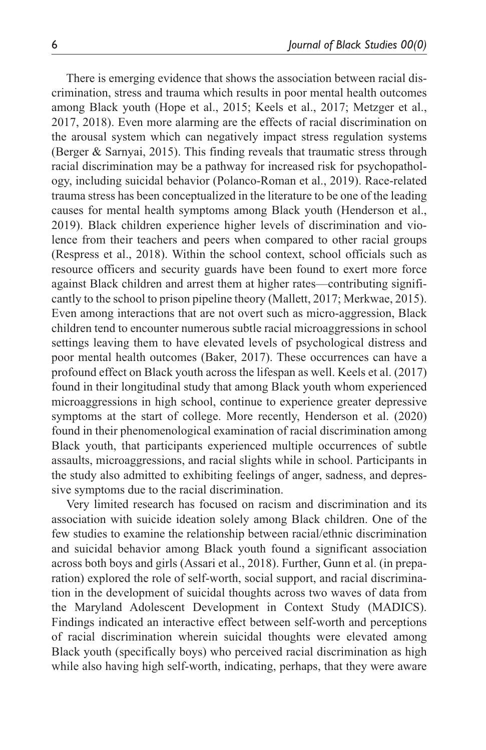There is emerging evidence that shows the association between racial discrimination, stress and trauma which results in poor mental health outcomes among Black youth (Hope et al., 2015; Keels et al., 2017; Metzger et al., 2017, 2018). Even more alarming are the effects of racial discrimination on the arousal system which can negatively impact stress regulation systems (Berger & Sarnyai, 2015). This finding reveals that traumatic stress through racial discrimination may be a pathway for increased risk for psychopathology, including suicidal behavior (Polanco-Roman et al., 2019). Race-related trauma stress has been conceptualized in the literature to be one of the leading causes for mental health symptoms among Black youth (Henderson et al., 2019). Black children experience higher levels of discrimination and violence from their teachers and peers when compared to other racial groups (Respress et al., 2018). Within the school context, school officials such as resource officers and security guards have been found to exert more force against Black children and arrest them at higher rates—contributing significantly to the school to prison pipeline theory (Mallett, 2017; Merkwae, 2015). Even among interactions that are not overt such as micro-aggression, Black children tend to encounter numerous subtle racial microaggressions in school settings leaving them to have elevated levels of psychological distress and poor mental health outcomes (Baker, 2017). These occurrences can have a profound effect on Black youth across the lifespan as well. Keels et al. (2017) found in their longitudinal study that among Black youth whom experienced microaggressions in high school, continue to experience greater depressive symptoms at the start of college. More recently, Henderson et al. (2020) found in their phenomenological examination of racial discrimination among Black youth, that participants experienced multiple occurrences of subtle assaults, microaggressions, and racial slights while in school. Participants in the study also admitted to exhibiting feelings of anger, sadness, and depressive symptoms due to the racial discrimination.

Very limited research has focused on racism and discrimination and its association with suicide ideation solely among Black children. One of the few studies to examine the relationship between racial/ethnic discrimination and suicidal behavior among Black youth found a significant association across both boys and girls (Assari et al., 2018). Further, Gunn et al. (in preparation) explored the role of self-worth, social support, and racial discrimination in the development of suicidal thoughts across two waves of data from the Maryland Adolescent Development in Context Study (MADICS). Findings indicated an interactive effect between self-worth and perceptions of racial discrimination wherein suicidal thoughts were elevated among Black youth (specifically boys) who perceived racial discrimination as high while also having high self-worth, indicating, perhaps, that they were aware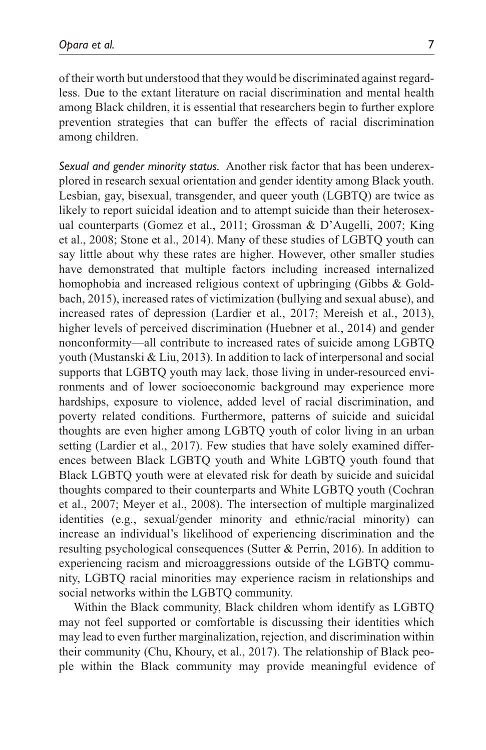of their worth but understood that they would be discriminated against regardless. Due to the extant literature on racial discrimination and mental health among Black children, it is essential that researchers begin to further explore prevention strategies that can buffer the effects of racial discrimination among children.

*Sexual and gender minority status.* Another risk factor that has been underexplored in research sexual orientation and gender identity among Black youth. Lesbian, gay, bisexual, transgender, and queer youth (LGBTQ) are twice as likely to report suicidal ideation and to attempt suicide than their heterosexual counterparts (Gomez et al., 2011; Grossman & D'Augelli, 2007; King et al., 2008; Stone et al., 2014). Many of these studies of LGBTQ youth can say little about why these rates are higher. However, other smaller studies have demonstrated that multiple factors including increased internalized homophobia and increased religious context of upbringing (Gibbs & Goldbach, 2015), increased rates of victimization (bullying and sexual abuse), and increased rates of depression (Lardier et al., 2017; Mereish et al., 2013), higher levels of perceived discrimination (Huebner et al., 2014) and gender nonconformity—all contribute to increased rates of suicide among LGBTQ youth (Mustanski & Liu, 2013). In addition to lack of interpersonal and social supports that LGBTQ youth may lack, those living in under-resourced environments and of lower socioeconomic background may experience more hardships, exposure to violence, added level of racial discrimination, and poverty related conditions. Furthermore, patterns of suicide and suicidal thoughts are even higher among LGBTQ youth of color living in an urban setting (Lardier et al., 2017). Few studies that have solely examined differences between Black LGBTQ youth and White LGBTQ youth found that Black LGBTQ youth were at elevated risk for death by suicide and suicidal thoughts compared to their counterparts and White LGBTQ youth (Cochran et al., 2007; Meyer et al., 2008). The intersection of multiple marginalized identities (e.g., sexual/gender minority and ethnic/racial minority) can increase an individual's likelihood of experiencing discrimination and the resulting psychological consequences (Sutter & Perrin, 2016). In addition to experiencing racism and microaggressions outside of the LGBTQ community, LGBTQ racial minorities may experience racism in relationships and social networks within the LGBTQ community.

Within the Black community, Black children whom identify as LGBTQ may not feel supported or comfortable is discussing their identities which may lead to even further marginalization, rejection, and discrimination within their community (Chu, Khoury, et al., 2017). The relationship of Black people within the Black community may provide meaningful evidence of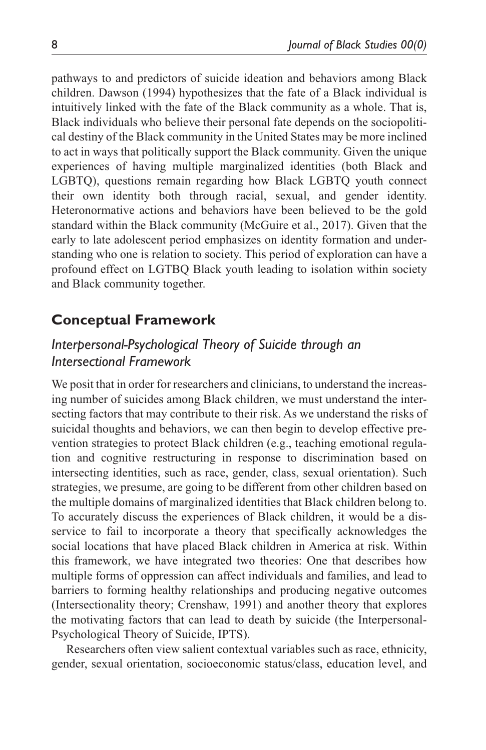pathways to and predictors of suicide ideation and behaviors among Black children. Dawson (1994) hypothesizes that the fate of a Black individual is intuitively linked with the fate of the Black community as a whole. That is, Black individuals who believe their personal fate depends on the sociopolitical destiny of the Black community in the United States may be more inclined to act in ways that politically support the Black community. Given the unique experiences of having multiple marginalized identities (both Black and LGBTQ), questions remain regarding how Black LGBTQ youth connect their own identity both through racial, sexual, and gender identity. Heteronormative actions and behaviors have been believed to be the gold standard within the Black community (McGuire et al., 2017). Given that the early to late adolescent period emphasizes on identity formation and understanding who one is relation to society. This period of exploration can have a profound effect on LGTBQ Black youth leading to isolation within society and Black community together.

# **Conceptual Framework**

# *Interpersonal-Psychological Theory of Suicide through an Intersectional Framework*

We posit that in order for researchers and clinicians, to understand the increasing number of suicides among Black children, we must understand the intersecting factors that may contribute to their risk. As we understand the risks of suicidal thoughts and behaviors, we can then begin to develop effective prevention strategies to protect Black children (e.g., teaching emotional regulation and cognitive restructuring in response to discrimination based on intersecting identities, such as race, gender, class, sexual orientation). Such strategies, we presume, are going to be different from other children based on the multiple domains of marginalized identities that Black children belong to. To accurately discuss the experiences of Black children, it would be a disservice to fail to incorporate a theory that specifically acknowledges the social locations that have placed Black children in America at risk. Within this framework, we have integrated two theories: One that describes how multiple forms of oppression can affect individuals and families, and lead to barriers to forming healthy relationships and producing negative outcomes (Intersectionality theory; Crenshaw, 1991) and another theory that explores the motivating factors that can lead to death by suicide (the Interpersonal-Psychological Theory of Suicide, IPTS).

Researchers often view salient contextual variables such as race, ethnicity, gender, sexual orientation, socioeconomic status/class, education level, and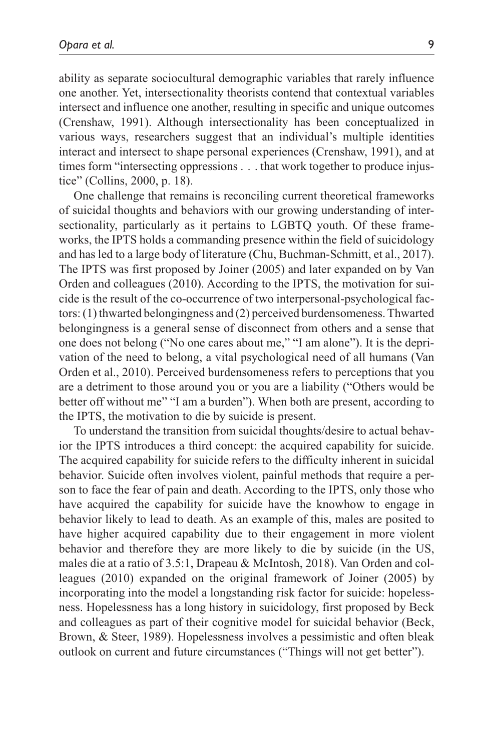ability as separate sociocultural demographic variables that rarely influence one another. Yet, intersectionality theorists contend that contextual variables intersect and influence one another, resulting in specific and unique outcomes (Crenshaw, 1991). Although intersectionality has been conceptualized in various ways, researchers suggest that an individual's multiple identities interact and intersect to shape personal experiences (Crenshaw, 1991), and at times form "intersecting oppressions . . . that work together to produce injustice" (Collins, 2000, p. 18).

One challenge that remains is reconciling current theoretical frameworks of suicidal thoughts and behaviors with our growing understanding of intersectionality, particularly as it pertains to LGBTQ youth. Of these frameworks, the IPTS holds a commanding presence within the field of suicidology and has led to a large body of literature (Chu, Buchman-Schmitt, et al., 2017). The IPTS was first proposed by Joiner (2005) and later expanded on by Van Orden and colleagues (2010). According to the IPTS, the motivation for suicide is the result of the co-occurrence of two interpersonal-psychological factors: (1) thwarted belongingness and (2) perceived burdensomeness. Thwarted belongingness is a general sense of disconnect from others and a sense that one does not belong ("No one cares about me," "I am alone"). It is the deprivation of the need to belong, a vital psychological need of all humans (Van Orden et al., 2010). Perceived burdensomeness refers to perceptions that you are a detriment to those around you or you are a liability ("Others would be better off without me" "I am a burden"). When both are present, according to the IPTS, the motivation to die by suicide is present.

To understand the transition from suicidal thoughts/desire to actual behavior the IPTS introduces a third concept: the acquired capability for suicide. The acquired capability for suicide refers to the difficulty inherent in suicidal behavior. Suicide often involves violent, painful methods that require a person to face the fear of pain and death. According to the IPTS, only those who have acquired the capability for suicide have the knowhow to engage in behavior likely to lead to death. As an example of this, males are posited to have higher acquired capability due to their engagement in more violent behavior and therefore they are more likely to die by suicide (in the US, males die at a ratio of 3.5:1, Drapeau & McIntosh, 2018). Van Orden and colleagues (2010) expanded on the original framework of Joiner (2005) by incorporating into the model a longstanding risk factor for suicide: hopelessness. Hopelessness has a long history in suicidology, first proposed by Beck and colleagues as part of their cognitive model for suicidal behavior (Beck, Brown, & Steer, 1989). Hopelessness involves a pessimistic and often bleak outlook on current and future circumstances ("Things will not get better").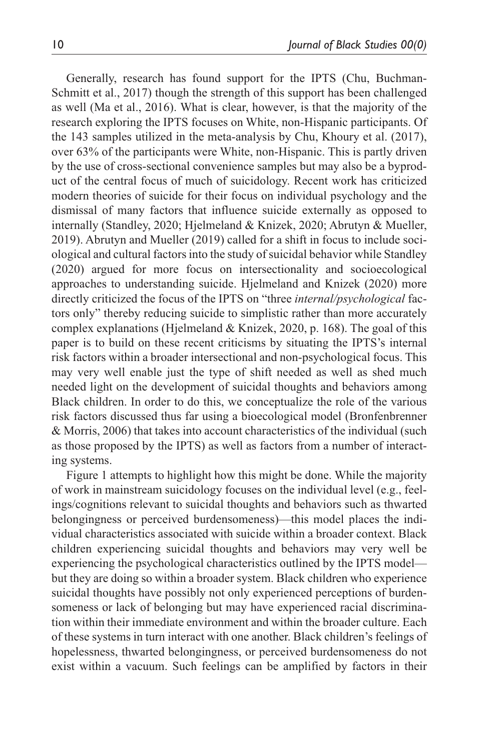Generally, research has found support for the IPTS (Chu, Buchman-Schmitt et al., 2017) though the strength of this support has been challenged as well (Ma et al., 2016). What is clear, however, is that the majority of the research exploring the IPTS focuses on White, non-Hispanic participants. Of the 143 samples utilized in the meta-analysis by Chu, Khoury et al. (2017), over 63% of the participants were White, non-Hispanic. This is partly driven by the use of cross-sectional convenience samples but may also be a byproduct of the central focus of much of suicidology. Recent work has criticized modern theories of suicide for their focus on individual psychology and the dismissal of many factors that influence suicide externally as opposed to internally (Standley, 2020; Hjelmeland & Knizek, 2020; Abrutyn & Mueller, 2019). Abrutyn and Mueller (2019) called for a shift in focus to include sociological and cultural factors into the study of suicidal behavior while Standley (2020) argued for more focus on intersectionality and socioecological approaches to understanding suicide. Hjelmeland and Knizek (2020) more directly criticized the focus of the IPTS on "three *internal/psychological* factors only" thereby reducing suicide to simplistic rather than more accurately complex explanations (Hjelmeland & Knizek, 2020, p. 168). The goal of this paper is to build on these recent criticisms by situating the IPTS's internal risk factors within a broader intersectional and non-psychological focus. This may very well enable just the type of shift needed as well as shed much needed light on the development of suicidal thoughts and behaviors among Black children. In order to do this, we conceptualize the role of the various risk factors discussed thus far using a bioecological model (Bronfenbrenner & Morris, 2006) that takes into account characteristics of the individual (such as those proposed by the IPTS) as well as factors from a number of interacting systems.

Figure 1 attempts to highlight how this might be done. While the majority of work in mainstream suicidology focuses on the individual level (e.g., feelings/cognitions relevant to suicidal thoughts and behaviors such as thwarted belongingness or perceived burdensomeness)—this model places the individual characteristics associated with suicide within a broader context. Black children experiencing suicidal thoughts and behaviors may very well be experiencing the psychological characteristics outlined by the IPTS model but they are doing so within a broader system. Black children who experience suicidal thoughts have possibly not only experienced perceptions of burdensomeness or lack of belonging but may have experienced racial discrimination within their immediate environment and within the broader culture. Each of these systems in turn interact with one another. Black children's feelings of hopelessness, thwarted belongingness, or perceived burdensomeness do not exist within a vacuum. Such feelings can be amplified by factors in their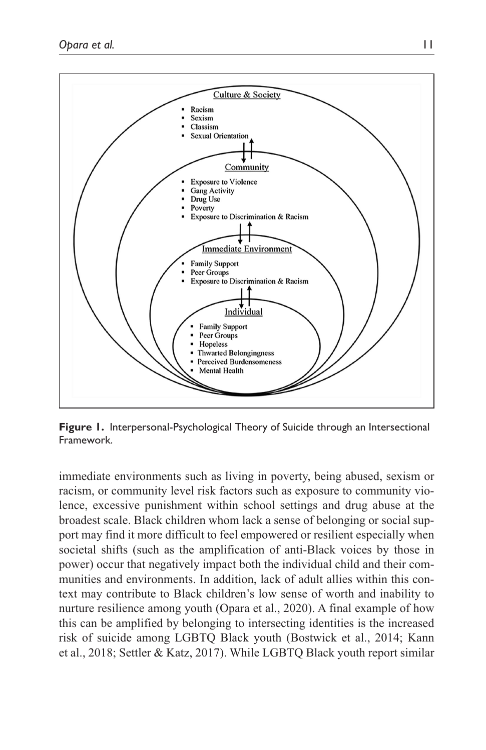

**Figure 1.** Interpersonal-Psychological Theory of Suicide through an Intersectional Framework.

immediate environments such as living in poverty, being abused, sexism or racism, or community level risk factors such as exposure to community violence, excessive punishment within school settings and drug abuse at the broadest scale. Black children whom lack a sense of belonging or social support may find it more difficult to feel empowered or resilient especially when societal shifts (such as the amplification of anti-Black voices by those in power) occur that negatively impact both the individual child and their communities and environments. In addition, lack of adult allies within this context may contribute to Black children's low sense of worth and inability to nurture resilience among youth (Opara et al., 2020). A final example of how this can be amplified by belonging to intersecting identities is the increased risk of suicide among LGBTQ Black youth (Bostwick et al., 2014; Kann et al., 2018; Settler & Katz, 2017). While LGBTQ Black youth report similar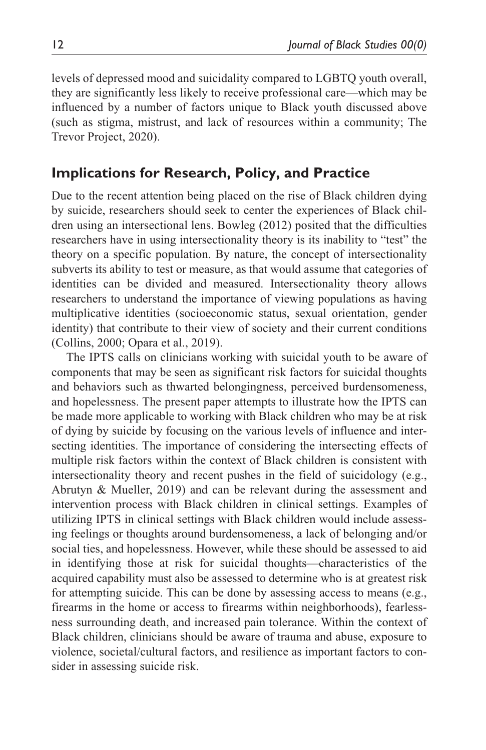levels of depressed mood and suicidality compared to LGBTQ youth overall, they are significantly less likely to receive professional care—which may be influenced by a number of factors unique to Black youth discussed above (such as stigma, mistrust, and lack of resources within a community; The Trevor Project, 2020).

# **Implications for Research, Policy, and Practice**

Due to the recent attention being placed on the rise of Black children dying by suicide, researchers should seek to center the experiences of Black children using an intersectional lens. Bowleg (2012) posited that the difficulties researchers have in using intersectionality theory is its inability to "test" the theory on a specific population. By nature, the concept of intersectionality subverts its ability to test or measure, as that would assume that categories of identities can be divided and measured. Intersectionality theory allows researchers to understand the importance of viewing populations as having multiplicative identities (socioeconomic status, sexual orientation, gender identity) that contribute to their view of society and their current conditions (Collins, 2000; Opara et al., 2019).

The IPTS calls on clinicians working with suicidal youth to be aware of components that may be seen as significant risk factors for suicidal thoughts and behaviors such as thwarted belongingness, perceived burdensomeness, and hopelessness. The present paper attempts to illustrate how the IPTS can be made more applicable to working with Black children who may be at risk of dying by suicide by focusing on the various levels of influence and intersecting identities. The importance of considering the intersecting effects of multiple risk factors within the context of Black children is consistent with intersectionality theory and recent pushes in the field of suicidology (e.g., Abrutyn & Mueller, 2019) and can be relevant during the assessment and intervention process with Black children in clinical settings. Examples of utilizing IPTS in clinical settings with Black children would include assessing feelings or thoughts around burdensomeness, a lack of belonging and/or social ties, and hopelessness. However, while these should be assessed to aid in identifying those at risk for suicidal thoughts—characteristics of the acquired capability must also be assessed to determine who is at greatest risk for attempting suicide. This can be done by assessing access to means (e.g., firearms in the home or access to firearms within neighborhoods), fearlessness surrounding death, and increased pain tolerance. Within the context of Black children, clinicians should be aware of trauma and abuse, exposure to violence, societal/cultural factors, and resilience as important factors to consider in assessing suicide risk.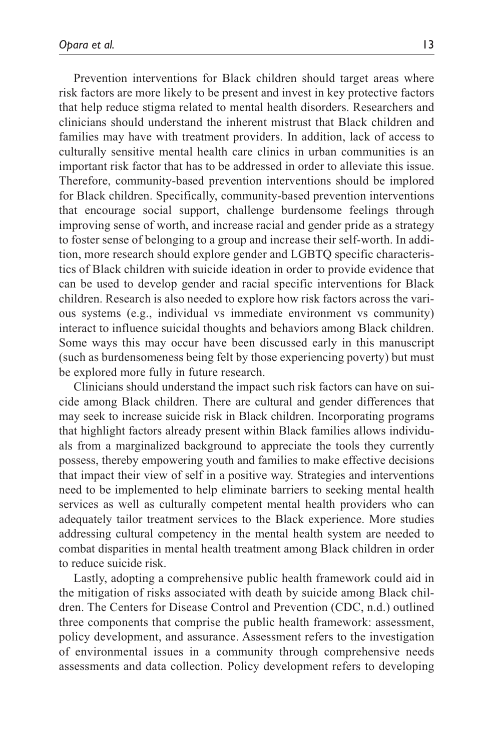Prevention interventions for Black children should target areas where risk factors are more likely to be present and invest in key protective factors that help reduce stigma related to mental health disorders. Researchers and clinicians should understand the inherent mistrust that Black children and families may have with treatment providers. In addition, lack of access to culturally sensitive mental health care clinics in urban communities is an important risk factor that has to be addressed in order to alleviate this issue. Therefore, community-based prevention interventions should be implored for Black children. Specifically, community-based prevention interventions that encourage social support, challenge burdensome feelings through improving sense of worth, and increase racial and gender pride as a strategy to foster sense of belonging to a group and increase their self-worth. In addition, more research should explore gender and LGBTQ specific characteristics of Black children with suicide ideation in order to provide evidence that can be used to develop gender and racial specific interventions for Black children. Research is also needed to explore how risk factors across the various systems (e.g., individual vs immediate environment vs community) interact to influence suicidal thoughts and behaviors among Black children. Some ways this may occur have been discussed early in this manuscript (such as burdensomeness being felt by those experiencing poverty) but must be explored more fully in future research.

Clinicians should understand the impact such risk factors can have on suicide among Black children. There are cultural and gender differences that may seek to increase suicide risk in Black children. Incorporating programs that highlight factors already present within Black families allows individuals from a marginalized background to appreciate the tools they currently possess, thereby empowering youth and families to make effective decisions that impact their view of self in a positive way. Strategies and interventions need to be implemented to help eliminate barriers to seeking mental health services as well as culturally competent mental health providers who can adequately tailor treatment services to the Black experience. More studies addressing cultural competency in the mental health system are needed to combat disparities in mental health treatment among Black children in order to reduce suicide risk.

Lastly, adopting a comprehensive public health framework could aid in the mitigation of risks associated with death by suicide among Black children. The Centers for Disease Control and Prevention (CDC, n.d.) outlined three components that comprise the public health framework: assessment, policy development, and assurance. Assessment refers to the investigation of environmental issues in a community through comprehensive needs assessments and data collection. Policy development refers to developing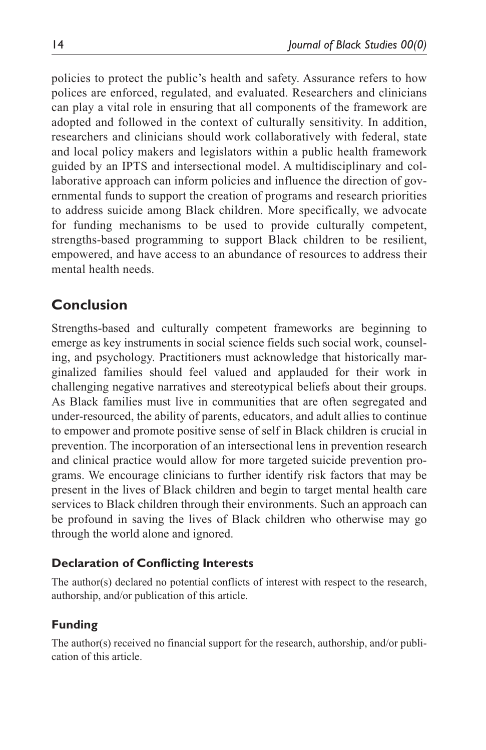policies to protect the public's health and safety. Assurance refers to how polices are enforced, regulated, and evaluated. Researchers and clinicians can play a vital role in ensuring that all components of the framework are adopted and followed in the context of culturally sensitivity. In addition, researchers and clinicians should work collaboratively with federal, state and local policy makers and legislators within a public health framework guided by an IPTS and intersectional model. A multidisciplinary and collaborative approach can inform policies and influence the direction of governmental funds to support the creation of programs and research priorities to address suicide among Black children. More specifically, we advocate for funding mechanisms to be used to provide culturally competent, strengths-based programming to support Black children to be resilient, empowered, and have access to an abundance of resources to address their mental health needs.

# **Conclusion**

Strengths-based and culturally competent frameworks are beginning to emerge as key instruments in social science fields such social work, counseling, and psychology. Practitioners must acknowledge that historically marginalized families should feel valued and applauded for their work in challenging negative narratives and stereotypical beliefs about their groups. As Black families must live in communities that are often segregated and under-resourced, the ability of parents, educators, and adult allies to continue to empower and promote positive sense of self in Black children is crucial in prevention. The incorporation of an intersectional lens in prevention research and clinical practice would allow for more targeted suicide prevention programs. We encourage clinicians to further identify risk factors that may be present in the lives of Black children and begin to target mental health care services to Black children through their environments. Such an approach can be profound in saving the lives of Black children who otherwise may go through the world alone and ignored.

## **Declaration of Conflicting Interests**

The author(s) declared no potential conflicts of interest with respect to the research, authorship, and/or publication of this article.

## **Funding**

The author(s) received no financial support for the research, authorship, and/or publication of this article.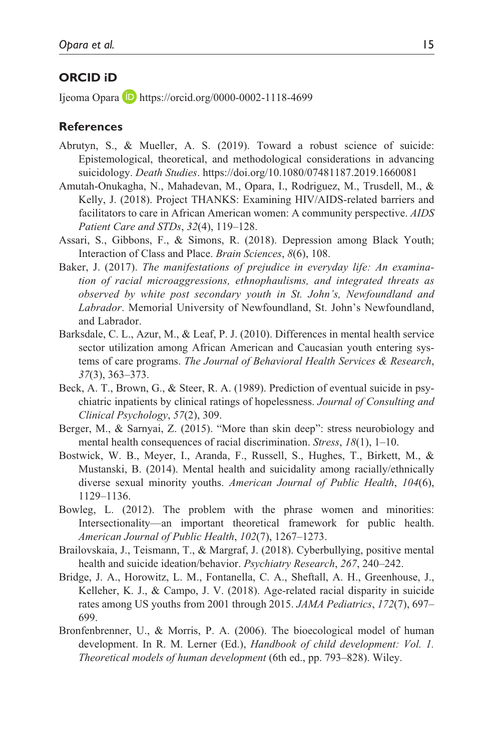### **ORCID iD**

Ijeoma Opara  $\Box$  <https://orcid.org/0000-0002-1118-4699>

#### **References**

- Abrutyn, S., & Mueller, A. S. (2019). Toward a robust science of suicide: Epistemological, theoretical, and methodological considerations in advancing suicidology. *Death Studies*.<https://doi.org/10.1080/07481187.2019.1660081>
- Amutah-Onukagha, N., Mahadevan, M., Opara, I., Rodriguez, M., Trusdell, M., & Kelly, J. (2018). Project THANKS: Examining HIV/AIDS-related barriers and facilitators to care in African American women: A community perspective. *AIDS Patient Care and STDs*, *32*(4), 119–128.
- Assari, S., Gibbons, F., & Simons, R. (2018). Depression among Black Youth; Interaction of Class and Place. *Brain Sciences*, *8*(6), 108.
- Baker, J. (2017). *The manifestations of prejudice in everyday life: An examination of racial microaggressions, ethnophaulisms, and integrated threats as observed by white post secondary youth in St. John's, Newfoundland and Labrador*. Memorial University of Newfoundland, St. John's Newfoundland, and Labrador.
- Barksdale, C. L., Azur, M., & Leaf, P. J. (2010). Differences in mental health service sector utilization among African American and Caucasian youth entering systems of care programs. *The Journal of Behavioral Health Services & Research*, *37*(3), 363–373.
- Beck, A. T., Brown, G., & Steer, R. A. (1989). Prediction of eventual suicide in psychiatric inpatients by clinical ratings of hopelessness. *Journal of Consulting and Clinical Psychology*, *57*(2), 309.
- Berger, M., & Sarnyai, Z. (2015). "More than skin deep": stress neurobiology and mental health consequences of racial discrimination. *Stress*, *18*(1), 1–10.
- Bostwick, W. B., Meyer, I., Aranda, F., Russell, S., Hughes, T., Birkett, M., & Mustanski, B. (2014). Mental health and suicidality among racially/ethnically diverse sexual minority youths. *American Journal of Public Health*, *104*(6), 1129–1136.
- Bowleg, L. (2012). The problem with the phrase women and minorities: Intersectionality—an important theoretical framework for public health. *American Journal of Public Health*, *102*(7), 1267–1273.
- Brailovskaia, J., Teismann, T., & Margraf, J. (2018). Cyberbullying, positive mental health and suicide ideation/behavior. *Psychiatry Research*, *267*, 240–242.
- Bridge, J. A., Horowitz, L. M., Fontanella, C. A., Sheftall, A. H., Greenhouse, J., Kelleher, K. J., & Campo, J. V. (2018). Age-related racial disparity in suicide rates among US youths from 2001 through 2015. *JAMA Pediatrics*, *172*(7), 697– 699.
- Bronfenbrenner, U., & Morris, P. A. (2006). The bioecological model of human development. In R. M. Lerner (Ed.), *Handbook of child development: Vol. 1. Theoretical models of human development* (6th ed., pp. 793–828). Wiley.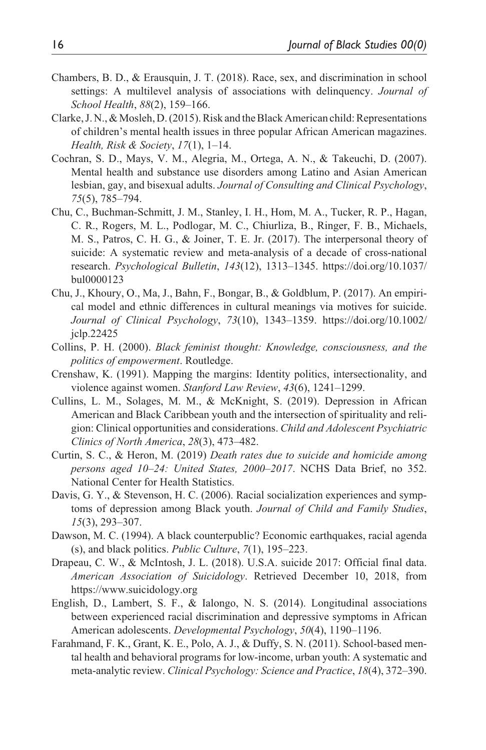- Chambers, B. D., & Erausquin, J. T. (2018). Race, sex, and discrimination in school settings: A multilevel analysis of associations with delinquency. *Journal of School Health*, *88*(2), 159–166.
- Clarke, J. N., & Mosleh, D. (2015). Risk and the Black American child: Representations of children's mental health issues in three popular African American magazines. *Health, Risk & Society*, *17*(1), 1–14.
- Cochran, S. D., Mays, V. M., Alegria, M., Ortega, A. N., & Takeuchi, D. (2007). Mental health and substance use disorders among Latino and Asian American lesbian, gay, and bisexual adults. *Journal of Consulting and Clinical Psychology*, *75*(5), 785–794.
- Chu, C., Buchman-Schmitt, J. M., Stanley, I. H., Hom, M. A., Tucker, R. P., Hagan, C. R., Rogers, M. L., Podlogar, M. C., Chiurliza, B., Ringer, F. B., Michaels, M. S., Patros, C. H. G., & Joiner, T. E. Jr. (2017). The interpersonal theory of suicide: A systematic review and meta-analysis of a decade of cross-national research. *Psychological Bulletin*, *143*(12), 1313–1345. [https://doi.org/10.1037/](https://doi.org/10.1037/bul0000123) [bul0000123](https://doi.org/10.1037/bul0000123)
- Chu, J., Khoury, O., Ma, J., Bahn, F., Bongar, B., & Goldblum, P. (2017). An empirical model and ethnic differences in cultural meanings via motives for suicide. *Journal of Clinical Psychology*, *73*(10), 1343–1359. [https://doi.org/10.1002/](https://doi.org/10.1002/jclp.22425) [jclp.22425](https://doi.org/10.1002/jclp.22425)
- Collins, P. H. (2000). *Black feminist thought: Knowledge, consciousness, and the politics of empowerment*. Routledge.
- Crenshaw, K. (1991). Mapping the margins: Identity politics, intersectionality, and violence against women. *Stanford Law Review*, *43*(6), 1241–1299.
- Cullins, L. M., Solages, M. M., & McKnight, S. (2019). Depression in African American and Black Caribbean youth and the intersection of spirituality and religion: Clinical opportunities and considerations. *Child and Adolescent Psychiatric Clinics of North America*, *28*(3), 473–482.
- Curtin, S. C., & Heron, M. (2019) *Death rates due to suicide and homicide among persons aged 10–24: United States, 2000–2017*. NCHS Data Brief, no 352. National Center for Health Statistics.
- Davis, G. Y., & Stevenson, H. C. (2006). Racial socialization experiences and symptoms of depression among Black youth. *Journal of Child and Family Studies*, *15*(3), 293–307.
- Dawson, M. C. (1994). A black counterpublic? Economic earthquakes, racial agenda (s), and black politics. *Public Culture*, *7*(1), 195–223.
- Drapeau, C. W., & McIntosh, J. L. (2018). U.S.A. suicide 2017: Official final data. *American Association of Suicidology*. Retrieved December 10, 2018, from <https://www.suicidology.org>
- English, D., Lambert, S. F., & Ialongo, N. S. (2014). Longitudinal associations between experienced racial discrimination and depressive symptoms in African American adolescents. *Developmental Psychology*, *50*(4), 1190–1196.
- Farahmand, F. K., Grant, K. E., Polo, A. J., & Duffy, S. N. (2011). School-based mental health and behavioral programs for low-income, urban youth: A systematic and meta-analytic review. *Clinical Psychology: Science and Practice*, *18*(4), 372–390.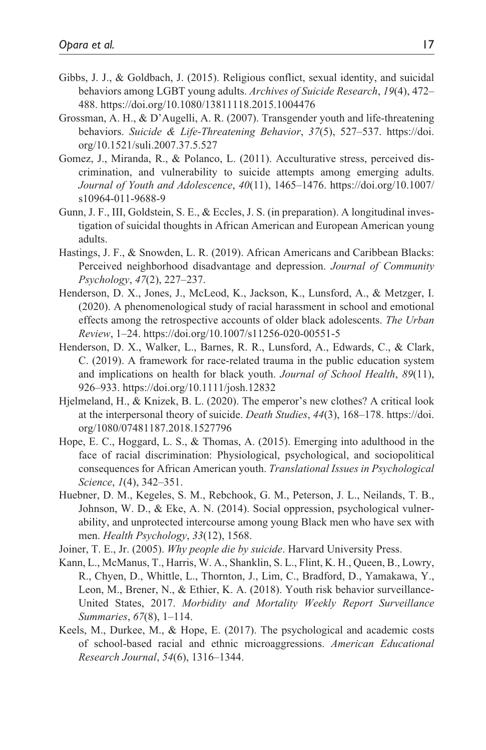- Gibbs, J. J., & Goldbach, J. (2015). Religious conflict, sexual identity, and suicidal behaviors among LGBT young adults. *Archives of Suicide Research*, *19*(4), 472– 488.<https://doi.org/10.1080/13811118.2015.1004476>
- Grossman, A. H., & D'Augelli, A. R. (2007). Transgender youth and life-threatening behaviors. *Suicide & Life-Threatening Behavior*, *37*(5), 527–537. [https://doi.](https://doi.org/10.1521/suli.2007.37.5.527) [org/10.1521/suli.2007.37.5.527](https://doi.org/10.1521/suli.2007.37.5.527)
- Gomez, J., Miranda, R., & Polanco, L. (2011). Acculturative stress, perceived discrimination, and vulnerability to suicide attempts among emerging adults. *Journal of Youth and Adolescence*, *40*(11), 1465–1476. [https://doi.org/10.1007/](https://doi.org/10.1007/s10964-011-9688-9) [s10964-011-9688-9](https://doi.org/10.1007/s10964-011-9688-9)
- Gunn, J. F., III, Goldstein, S. E., & Eccles, J. S. (in preparation). A longitudinal investigation of suicidal thoughts in African American and European American young adults.
- Hastings, J. F., & Snowden, L. R. (2019). African Americans and Caribbean Blacks: Perceived neighborhood disadvantage and depression. *Journal of Community Psychology*, *47*(2), 227–237.
- Henderson, D. X., Jones, J., McLeod, K., Jackson, K., Lunsford, A., & Metzger, I. (2020). A phenomenological study of racial harassment in school and emotional effects among the retrospective accounts of older black adolescents. *The Urban Review*, 1–24. <https://doi.org/10.1007/s11256-020-00551-5>
- Henderson, D. X., Walker, L., Barnes, R. R., Lunsford, A., Edwards, C., & Clark, C. (2019). A framework for race-related trauma in the public education system and implications on health for black youth. *Journal of School Health*, *89*(11), 926–933.<https://doi.org/10.1111/josh.12832>
- Hjelmeland, H., & Knizek, B. L. (2020). The emperor's new clothes? A critical look at the interpersonal theory of suicide. *Death Studies*, *44*(3), 168–178. [https://doi.](https://doi.org/1080/07481187.2018.1527796) [org/1080/07481187.2018.1527796](https://doi.org/1080/07481187.2018.1527796)
- Hope, E. C., Hoggard, L. S., & Thomas, A. (2015). Emerging into adulthood in the face of racial discrimination: Physiological, psychological, and sociopolitical consequences for African American youth. *Translational Issues in Psychological Science*, *1*(4), 342–351.
- Huebner, D. M., Kegeles, S. M., Rebchook, G. M., Peterson, J. L., Neilands, T. B., Johnson, W. D., & Eke, A. N. (2014). Social oppression, psychological vulnerability, and unprotected intercourse among young Black men who have sex with men. *Health Psychology*, *33*(12), 1568.
- Joiner, T. E., Jr. (2005). *Why people die by suicide*. Harvard University Press.
- Kann, L., McManus, T., Harris, W. A., Shanklin, S. L., Flint, K. H., Queen, B., Lowry, R., Chyen, D., Whittle, L., Thornton, J., Lim, C., Bradford, D., Yamakawa, Y., Leon, M., Brener, N., & Ethier, K. A. (2018). Youth risk behavior surveillance-United States, 2017. *Morbidity and Mortality Weekly Report Surveillance Summaries*, *67*(8), 1–114.
- Keels, M., Durkee, M., & Hope, E. (2017). The psychological and academic costs of school-based racial and ethnic microaggressions. *American Educational Research Journal*, *54*(6), 1316–1344.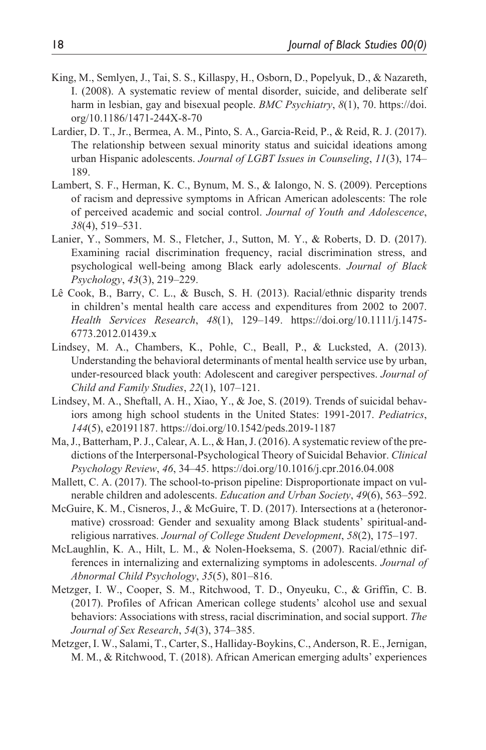- King, M., Semlyen, J., Tai, S. S., Killaspy, H., Osborn, D., Popelyuk, D., & Nazareth, I. (2008). A systematic review of mental disorder, suicide, and deliberate self harm in lesbian, gay and bisexual people. *BMC Psychiatry*, *8*(1), 70. [https://doi.](https://doi.org/10.1186/1471-244X-8-70) [org/10.1186/1471-244X-8-70](https://doi.org/10.1186/1471-244X-8-70)
- Lardier, D. T., Jr., Bermea, A. M., Pinto, S. A., Garcia-Reid, P., & Reid, R. J. (2017). The relationship between sexual minority status and suicidal ideations among urban Hispanic adolescents. *Journal of LGBT Issues in Counseling*, *11*(3), 174– 189.
- Lambert, S. F., Herman, K. C., Bynum, M. S., & Ialongo, N. S. (2009). Perceptions of racism and depressive symptoms in African American adolescents: The role of perceived academic and social control. *Journal of Youth and Adolescence*, *38*(4), 519–531.
- Lanier, Y., Sommers, M. S., Fletcher, J., Sutton, M. Y., & Roberts, D. D. (2017). Examining racial discrimination frequency, racial discrimination stress, and psychological well-being among Black early adolescents. *Journal of Black Psychology*, *43*(3), 219–229.
- Lê Cook, B., Barry, C. L., & Busch, S. H. (2013). Racial/ethnic disparity trends in children's mental health care access and expenditures from 2002 to 2007. *Health Services Research*, *48*(1), 129–149. [https://doi.org/10.1111/j.1475-](https://doi.org/10.1111/j.1475-6773.2012.01439.x) [6773.2012.01439.x](https://doi.org/10.1111/j.1475-6773.2012.01439.x)
- Lindsey, M. A., Chambers, K., Pohle, C., Beall, P., & Lucksted, A. (2013). Understanding the behavioral determinants of mental health service use by urban, under-resourced black youth: Adolescent and caregiver perspectives. *Journal of Child and Family Studies*, *22*(1), 107–121.
- Lindsey, M. A., Sheftall, A. H., Xiao, Y., & Joe, S. (2019). Trends of suicidal behaviors among high school students in the United States: 1991-2017. *Pediatrics*, *144*(5), e20191187. <https://doi.org/10.1542/peds.2019-1187>
- Ma, J., Batterham, P. J., Calear, A. L., & Han, J. (2016). A systematic review of the predictions of the Interpersonal-Psychological Theory of Suicidal Behavior. *Clinical Psychology Review*, *46*, 34–45. <https://doi.org/10.1016/j.cpr.2016.04.008>
- Mallett, C. A. (2017). The school-to-prison pipeline: Disproportionate impact on vulnerable children and adolescents. *Education and Urban Society*, *49*(6), 563–592.
- McGuire, K. M., Cisneros, J., & McGuire, T. D. (2017). Intersections at a (heteronormative) crossroad: Gender and sexuality among Black students' spiritual-andreligious narratives. *Journal of College Student Development*, *58*(2), 175–197.
- McLaughlin, K. A., Hilt, L. M., & Nolen-Hoeksema, S. (2007). Racial/ethnic differences in internalizing and externalizing symptoms in adolescents. *Journal of Abnormal Child Psychology*, *35*(5), 801–816.
- Metzger, I. W., Cooper, S. M., Ritchwood, T. D., Onyeuku, C., & Griffin, C. B. (2017). Profiles of African American college students' alcohol use and sexual behaviors: Associations with stress, racial discrimination, and social support. *The Journal of Sex Research*, *54*(3), 374–385.
- Metzger, I. W., Salami, T., Carter, S., Halliday-Boykins, C., Anderson, R. E., Jernigan, M. M., & Ritchwood, T. (2018). African American emerging adults' experiences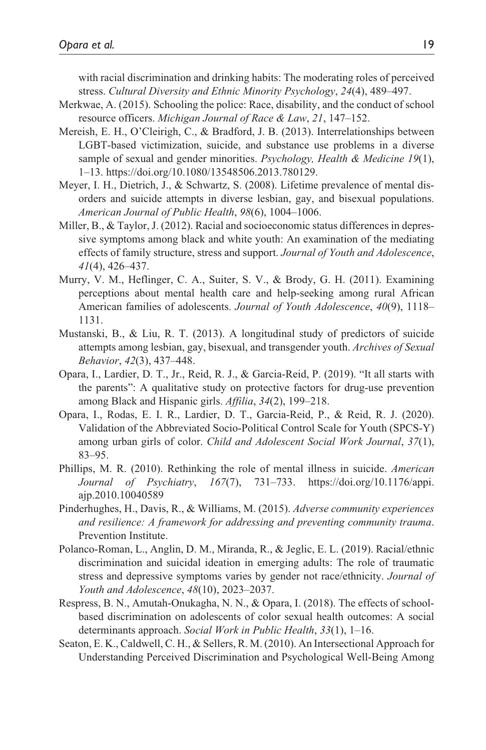with racial discrimination and drinking habits: The moderating roles of perceived stress. *Cultural Diversity and Ethnic Minority Psychology*, *24*(4), 489–497.

- Merkwae, A. (2015). Schooling the police: Race, disability, and the conduct of school resource officers. *Michigan Journal of Race & Law*, *21*, 147–152.
- Mereish, E. H., O'Cleirigh, C., & Bradford, J. B. (2013). Interrelationships between LGBT-based victimization, suicide, and substance use problems in a diverse sample of sexual and gender minorities. *Psychology, Health & Medicine 19*(1), 1–13.<https://doi.org/10.1080/13548506.2013.780129>.
- Meyer, I. H., Dietrich, J., & Schwartz, S. (2008). Lifetime prevalence of mental disorders and suicide attempts in diverse lesbian, gay, and bisexual populations. *American Journal of Public Health*, *98*(6), 1004–1006.
- Miller, B., & Taylor, J. (2012). Racial and socioeconomic status differences in depressive symptoms among black and white youth: An examination of the mediating effects of family structure, stress and support. *Journal of Youth and Adolescence*, *41*(4), 426–437.
- Murry, V. M., Heflinger, C. A., Suiter, S. V., & Brody, G. H. (2011). Examining perceptions about mental health care and help-seeking among rural African American families of adolescents. *Journal of Youth Adolescence*, *40*(9), 1118– 1131.
- Mustanski, B., & Liu, R. T. (2013). A longitudinal study of predictors of suicide attempts among lesbian, gay, bisexual, and transgender youth. *Archives of Sexual Behavior*, *42*(3), 437–448.
- Opara, I., Lardier, D. T., Jr., Reid, R. J., & Garcia-Reid, P. (2019). "It all starts with the parents": A qualitative study on protective factors for drug-use prevention among Black and Hispanic girls. *Affilia*, *34*(2), 199–218.
- Opara, I., Rodas, E. I. R., Lardier, D. T., Garcia-Reid, P., & Reid, R. J. (2020). Validation of the Abbreviated Socio-Political Control Scale for Youth (SPCS-Y) among urban girls of color. *Child and Adolescent Social Work Journal*, *37*(1), 83–95.
- Phillips, M. R. (2010). Rethinking the role of mental illness in suicide. *American Journal of Psychiatry*, *167*(7), 731–733. [https://doi.org/10.1176/appi.](https://doi.org/10.1176/appi.ajp.2010.10040589) [ajp.2010.10040589](https://doi.org/10.1176/appi.ajp.2010.10040589)
- Pinderhughes, H., Davis, R., & Williams, M. (2015). *Adverse community experiences and resilience: A framework for addressing and preventing community trauma*. Prevention Institute.
- Polanco-Roman, L., Anglin, D. M., Miranda, R., & Jeglic, E. L. (2019). Racial/ethnic discrimination and suicidal ideation in emerging adults: The role of traumatic stress and depressive symptoms varies by gender not race/ethnicity. *Journal of Youth and Adolescence*, *48*(10), 2023–2037.
- Respress, B. N., Amutah-Onukagha, N. N., & Opara, I. (2018). The effects of schoolbased discrimination on adolescents of color sexual health outcomes: A social determinants approach. *Social Work in Public Health*, *33*(1), 1–16.
- Seaton, E. K., Caldwell, C. H., & Sellers, R. M. (2010). An Intersectional Approach for Understanding Perceived Discrimination and Psychological Well-Being Among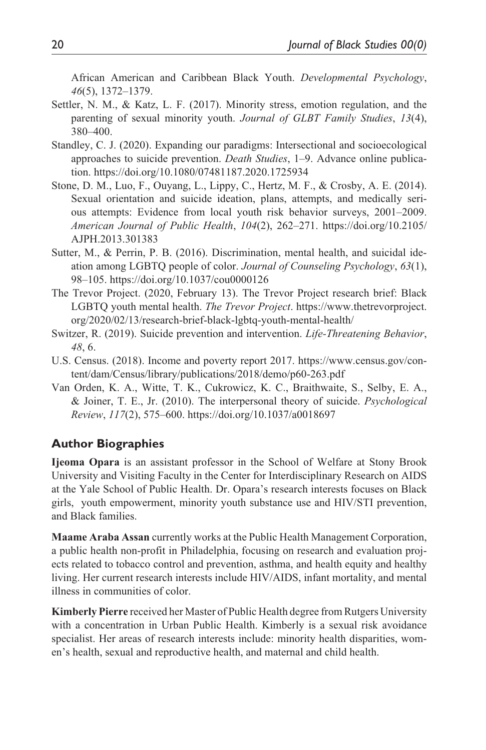African American and Caribbean Black Youth. *Developmental Psychology*, *46*(5), 1372–1379.

- Settler, N. M., & Katz, L. F. (2017). Minority stress, emotion regulation, and the parenting of sexual minority youth. *Journal of GLBT Family Studies*, *13*(4), 380–400.
- Standley, C. J. (2020). Expanding our paradigms: Intersectional and socioecological approaches to suicide prevention. *Death Studies*, 1–9. Advance online publication. <https://doi.org/10.1080/07481187.2020.1725934>
- Stone, D. M., Luo, F., Ouyang, L., Lippy, C., Hertz, M. F., & Crosby, A. E. (2014). Sexual orientation and suicide ideation, plans, attempts, and medically serious attempts: Evidence from local youth risk behavior surveys, 2001–2009. *American Journal of Public Health*, *104*(2), 262–271. [https://doi.org/10.2105/](https://doi.org/10.2105/AJPH.2013.301383) [AJPH.2013.301383](https://doi.org/10.2105/AJPH.2013.301383)
- Sutter, M., & Perrin, P. B. (2016). Discrimination, mental health, and suicidal ideation among LGBTQ people of color. *Journal of Counseling Psychology*, *63*(1), 98–105. <https://doi.org/10.1037/cou0000126>
- The Trevor Project. (2020, February 13). The Trevor Project research brief: Black LGBTQ youth mental health. *The Trevor Project*. [https://www.thetrevorproject.](https://www.thetrevorproject.org/2020/02/13/research-brief-black-lgbtq-youth-mental-health/) [org/2020/02/13/research-brief-black-lgbtq-youth-mental-health/](https://www.thetrevorproject.org/2020/02/13/research-brief-black-lgbtq-youth-mental-health/)
- Switzer, R. (2019). Suicide prevention and intervention. *Life-Threatening Behavior*, *48*, 6.
- U.S. Census. (2018). Income and poverty report 2017. [https://www.census.gov/con](https://www.census.gov/content/dam/Census/library/publications/2018/demo/p60-263.pdf)[tent/dam/Census/library/publications/2018/demo/p60-263.pdf](https://www.census.gov/content/dam/Census/library/publications/2018/demo/p60-263.pdf)
- Van Orden, K. A., Witte, T. K., Cukrowicz, K. C., Braithwaite, S., Selby, E. A., & Joiner, T. E., Jr. (2010). The interpersonal theory of suicide. *Psychological Review*, *117*(2), 575–600. <https://doi.org/10.1037/a0018697>

#### **Author Biographies**

**Ijeoma Opara** is an assistant professor in the School of Welfare at Stony Brook University and Visiting Faculty in the Center for Interdisciplinary Research on AIDS at the Yale School of Public Health. Dr. Opara's research interests focuses on Black girls, youth empowerment, minority youth substance use and HIV/STI prevention, and Black families.

**Maame Araba Assan** currently works at the Public Health Management Corporation, a public health non-profit in Philadelphia, focusing on research and evaluation projects related to tobacco control and prevention, asthma, and health equity and healthy living. Her current research interests include HIV/AIDS, infant mortality, and mental illness in communities of color.

**Kimberly Pierre** received her Master of Public Health degree from Rutgers University with a concentration in Urban Public Health. Kimberly is a sexual risk avoidance specialist. Her areas of research interests include: minority health disparities, women's health, sexual and reproductive health, and maternal and child health.